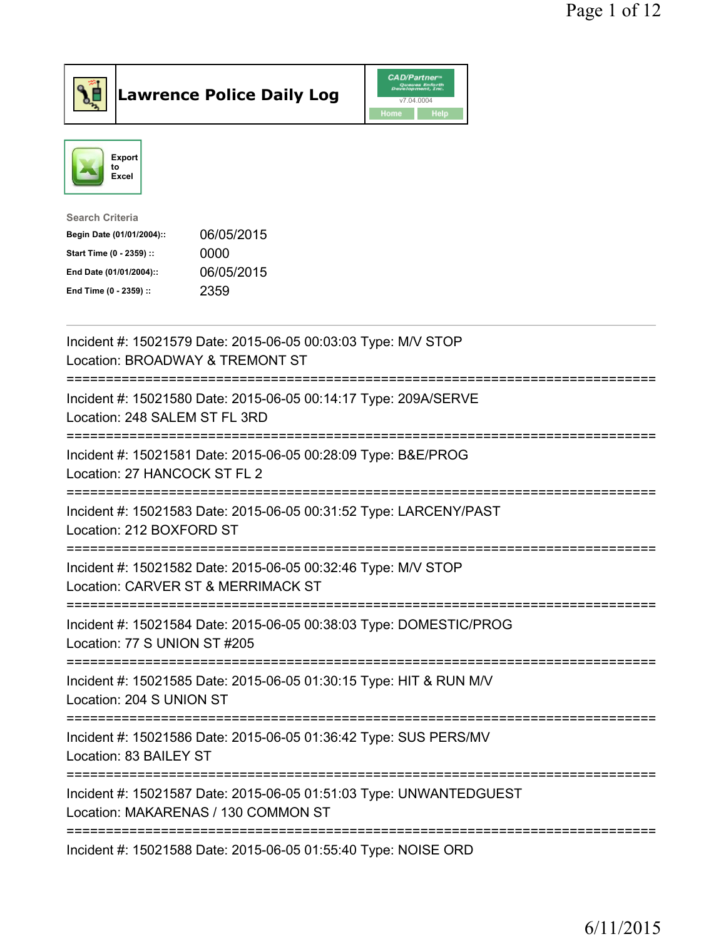



| <b>Search Criteria</b>    |            |
|---------------------------|------------|
| Begin Date (01/01/2004):: | 06/05/2015 |
| Start Time (0 - 2359) ::  | 0000       |
| End Date (01/01/2004)::   | 06/05/2015 |
| End Time (0 - 2359) ::    | 2359       |
|                           |            |

| Incident #: 15021579 Date: 2015-06-05 00:03:03 Type: M/V STOP<br>Location: BROADWAY & TREMONT ST                                    |
|-------------------------------------------------------------------------------------------------------------------------------------|
| Incident #: 15021580 Date: 2015-06-05 00:14:17 Type: 209A/SERVE<br>Location: 248 SALEM ST FL 3RD                                    |
| Incident #: 15021581 Date: 2015-06-05 00:28:09 Type: B&E/PROG<br>Location: 27 HANCOCK ST FL 2                                       |
| Incident #: 15021583 Date: 2015-06-05 00:31:52 Type: LARCENY/PAST<br>Location: 212 BOXFORD ST                                       |
| Incident #: 15021582 Date: 2015-06-05 00:32:46 Type: M/V STOP<br>Location: CARVER ST & MERRIMACK ST<br>:=========================== |
| Incident #: 15021584 Date: 2015-06-05 00:38:03 Type: DOMESTIC/PROG<br>Location: 77 S UNION ST #205<br>====================          |
| Incident #: 15021585 Date: 2015-06-05 01:30:15 Type: HIT & RUN M/V<br>Location: 204 S UNION ST                                      |
| Incident #: 15021586 Date: 2015-06-05 01:36:42 Type: SUS PERS/MV<br>Location: 83 BAILEY ST                                          |
| Incident #: 15021587 Date: 2015-06-05 01:51:03 Type: UNWANTEDGUEST<br>Location: MAKARENAS / 130 COMMON ST                           |
| Incident #: 15021588 Date: 2015-06-05 01:55:40 Type: NOISE ORD                                                                      |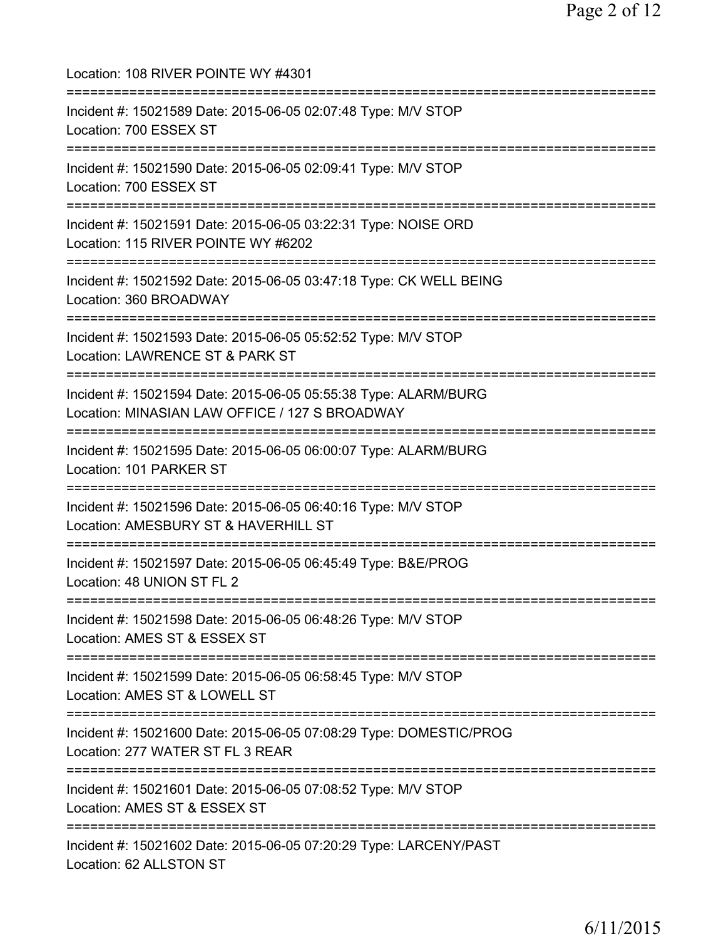Location: 108 RIVER POINTE WY #4301 =========================================================================== Incident #: 15021589 Date: 2015-06-05 02:07:48 Type: M/V STOP Location: 700 ESSEX ST =========================================================================== Incident #: 15021590 Date: 2015-06-05 02:09:41 Type: M/V STOP Location: 700 ESSEX ST =========================================================================== Incident #: 15021591 Date: 2015-06-05 03:22:31 Type: NOISE ORD Location: 115 RIVER POINTE WY #6202 =========================================================================== Incident #: 15021592 Date: 2015-06-05 03:47:18 Type: CK WELL BEING Location: 360 BROADWAY =========================================================================== Incident #: 15021593 Date: 2015-06-05 05:52:52 Type: M/V STOP Location: LAWRENCE ST & PARK ST =========================================================================== Incident #: 15021594 Date: 2015-06-05 05:55:38 Type: ALARM/BURG Location: MINASIAN LAW OFFICE / 127 S BROADWAY =========================================================================== Incident #: 15021595 Date: 2015-06-05 06:00:07 Type: ALARM/BURG Location: 101 PARKER ST =========================================================================== Incident #: 15021596 Date: 2015-06-05 06:40:16 Type: M/V STOP Location: AMESBURY ST & HAVERHILL ST =========================================================================== Incident #: 15021597 Date: 2015-06-05 06:45:49 Type: B&E/PROG Location: 48 UNION ST FL 2 =========================================================================== Incident #: 15021598 Date: 2015-06-05 06:48:26 Type: M/V STOP Location: AMES ST & ESSEX ST =========================================================================== Incident #: 15021599 Date: 2015-06-05 06:58:45 Type: M/V STOP Location: AMES ST & LOWELL ST =========================================================================== Incident #: 15021600 Date: 2015-06-05 07:08:29 Type: DOMESTIC/PROG Location: 277 WATER ST FL 3 REAR =========================================================================== Incident #: 15021601 Date: 2015-06-05 07:08:52 Type: M/V STOP Location: AMES ST & ESSEX ST =========================================================================== Incident #: 15021602 Date: 2015-06-05 07:20:29 Type: LARCENY/PAST Location: 62 ALLSTON ST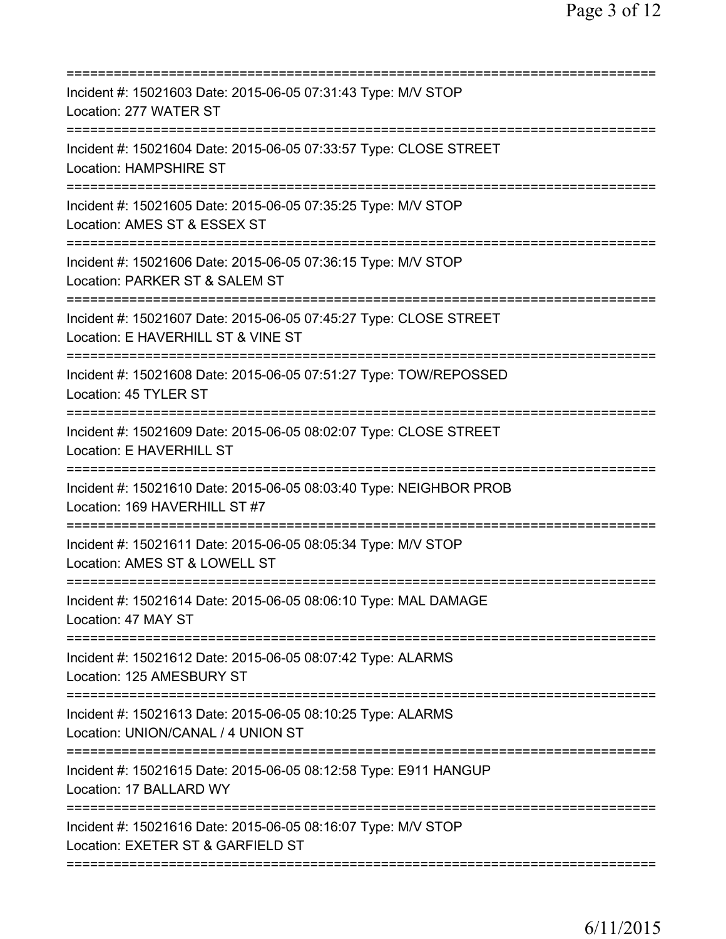| Incident #: 15021603 Date: 2015-06-05 07:31:43 Type: M/V STOP<br>Location: 277 WATER ST                                     |
|-----------------------------------------------------------------------------------------------------------------------------|
| Incident #: 15021604 Date: 2015-06-05 07:33:57 Type: CLOSE STREET<br><b>Location: HAMPSHIRE ST</b>                          |
| Incident #: 15021605 Date: 2015-06-05 07:35:25 Type: M/V STOP<br>Location: AMES ST & ESSEX ST                               |
| Incident #: 15021606 Date: 2015-06-05 07:36:15 Type: M/V STOP<br>Location: PARKER ST & SALEM ST<br>======================== |
| Incident #: 15021607 Date: 2015-06-05 07:45:27 Type: CLOSE STREET<br>Location: E HAVERHILL ST & VINE ST                     |
| =========================<br>Incident #: 15021608 Date: 2015-06-05 07:51:27 Type: TOW/REPOSSED<br>Location: 45 TYLER ST     |
| Incident #: 15021609 Date: 2015-06-05 08:02:07 Type: CLOSE STREET<br>Location: E HAVERHILL ST                               |
| Incident #: 15021610 Date: 2015-06-05 08:03:40 Type: NEIGHBOR PROB<br>Location: 169 HAVERHILL ST #7                         |
| Incident #: 15021611 Date: 2015-06-05 08:05:34 Type: M/V STOP<br>Location: AMES ST & LOWELL ST                              |
| Incident #: 15021614 Date: 2015-06-05 08:06:10 Type: MAL DAMAGE<br>Location: 47 MAY ST                                      |
| Incident #: 15021612 Date: 2015-06-05 08:07:42 Type: ALARMS<br>Location: 125 AMESBURY ST                                    |
| Incident #: 15021613 Date: 2015-06-05 08:10:25 Type: ALARMS<br>Location: UNION/CANAL / 4 UNION ST                           |
| Incident #: 15021615 Date: 2015-06-05 08:12:58 Type: E911 HANGUP<br>Location: 17 BALLARD WY                                 |
| Incident #: 15021616 Date: 2015-06-05 08:16:07 Type: M/V STOP<br>Location: EXETER ST & GARFIELD ST                          |
|                                                                                                                             |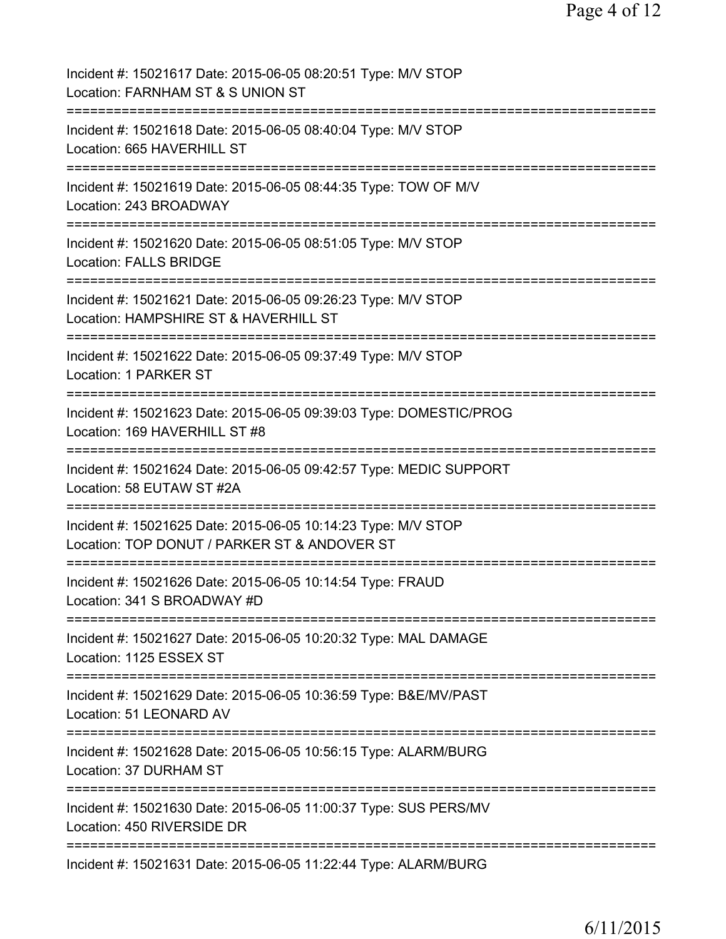| Incident #: 15021617 Date: 2015-06-05 08:20:51 Type: M/V STOP<br>Location: FARNHAM ST & S UNION ST            |
|---------------------------------------------------------------------------------------------------------------|
| Incident #: 15021618 Date: 2015-06-05 08:40:04 Type: M/V STOP<br>Location: 665 HAVERHILL ST                   |
| Incident #: 15021619 Date: 2015-06-05 08:44:35 Type: TOW OF M/V<br>Location: 243 BROADWAY                     |
| Incident #: 15021620 Date: 2015-06-05 08:51:05 Type: M/V STOP<br><b>Location: FALLS BRIDGE</b>                |
| Incident #: 15021621 Date: 2015-06-05 09:26:23 Type: M/V STOP<br>Location: HAMPSHIRE ST & HAVERHILL ST        |
| Incident #: 15021622 Date: 2015-06-05 09:37:49 Type: M/V STOP<br>Location: 1 PARKER ST                        |
| Incident #: 15021623 Date: 2015-06-05 09:39:03 Type: DOMESTIC/PROG<br>Location: 169 HAVERHILL ST #8           |
| Incident #: 15021624 Date: 2015-06-05 09:42:57 Type: MEDIC SUPPORT<br>Location: 58 EUTAW ST #2A               |
| Incident #: 15021625 Date: 2015-06-05 10:14:23 Type: M/V STOP<br>Location: TOP DONUT / PARKER ST & ANDOVER ST |
| Incident #: 15021626 Date: 2015-06-05 10:14:54 Type: FRAUD<br>Location: 341 S BROADWAY #D                     |
| Incident #: 15021627 Date: 2015-06-05 10:20:32 Type: MAL DAMAGE<br>Location: 1125 ESSEX ST                    |
| Incident #: 15021629 Date: 2015-06-05 10:36:59 Type: B&E/MV/PAST<br>Location: 51 LEONARD AV                   |
| Incident #: 15021628 Date: 2015-06-05 10:56:15 Type: ALARM/BURG<br>Location: 37 DURHAM ST                     |
| Incident #: 15021630 Date: 2015-06-05 11:00:37 Type: SUS PERS/MV<br>Location: 450 RIVERSIDE DR                |
| Incident #: 15021631 Date: 2015-06-05 11:22:44 Type: ALARM/BURG                                               |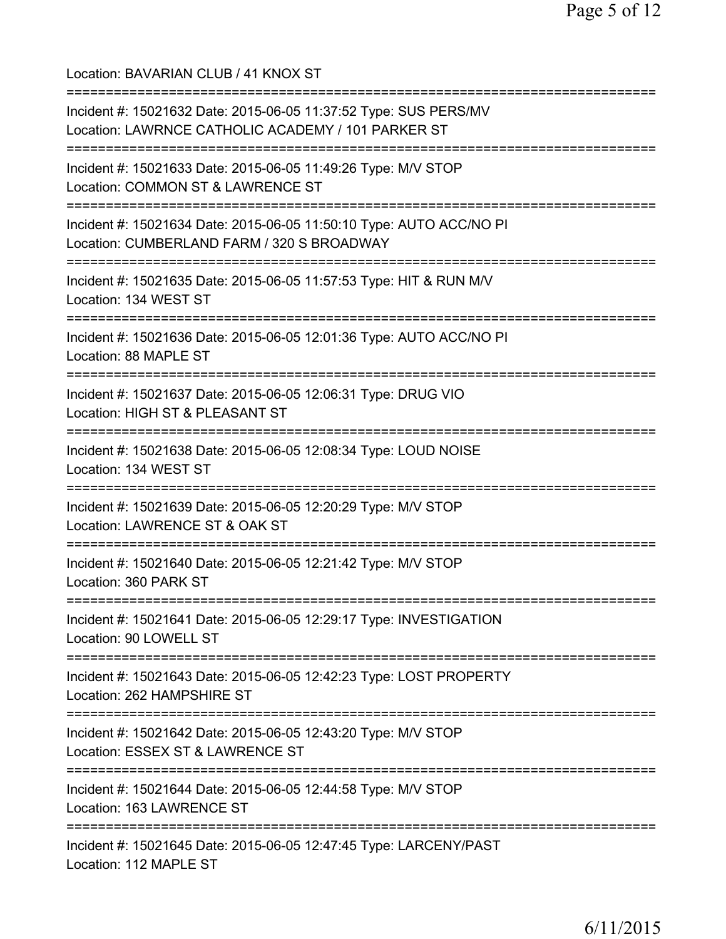Location: BAVARIAN CLUB / 41 KNOX ST =========================================================================== Incident #: 15021632 Date: 2015-06-05 11:37:52 Type: SUS PERS/MV Location: LAWRNCE CATHOLIC ACADEMY / 101 PARKER ST =========================================================================== Incident #: 15021633 Date: 2015-06-05 11:49:26 Type: M/V STOP Location: COMMON ST & LAWRENCE ST =========================================================================== Incident #: 15021634 Date: 2015-06-05 11:50:10 Type: AUTO ACC/NO PI Location: CUMBERLAND FARM / 320 S BROADWAY =========================================================================== Incident #: 15021635 Date: 2015-06-05 11:57:53 Type: HIT & RUN M/V Location: 134 WEST ST =========================================================================== Incident #: 15021636 Date: 2015-06-05 12:01:36 Type: AUTO ACC/NO PI Location: 88 MAPLE ST =========================================================================== Incident #: 15021637 Date: 2015-06-05 12:06:31 Type: DRUG VIO Location: HIGH ST & PLEASANT ST =========================================================================== Incident #: 15021638 Date: 2015-06-05 12:08:34 Type: LOUD NOISE Location: 134 WEST ST =========================================================================== Incident #: 15021639 Date: 2015-06-05 12:20:29 Type: M/V STOP Location: LAWRENCE ST & OAK ST =========================================================================== Incident #: 15021640 Date: 2015-06-05 12:21:42 Type: M/V STOP Location: 360 PARK ST =========================================================================== Incident #: 15021641 Date: 2015-06-05 12:29:17 Type: INVESTIGATION Location: 90 LOWELL ST =========================================================================== Incident #: 15021643 Date: 2015-06-05 12:42:23 Type: LOST PROPERTY Location: 262 HAMPSHIRE ST =========================================================================== Incident #: 15021642 Date: 2015-06-05 12:43:20 Type: M/V STOP Location: ESSEX ST & LAWRENCE ST =========================================================================== Incident #: 15021644 Date: 2015-06-05 12:44:58 Type: M/V STOP Location: 163 LAWRENCE ST =========================================================================== Incident #: 15021645 Date: 2015-06-05 12:47:45 Type: LARCENY/PAST Location: 112 MAPLE ST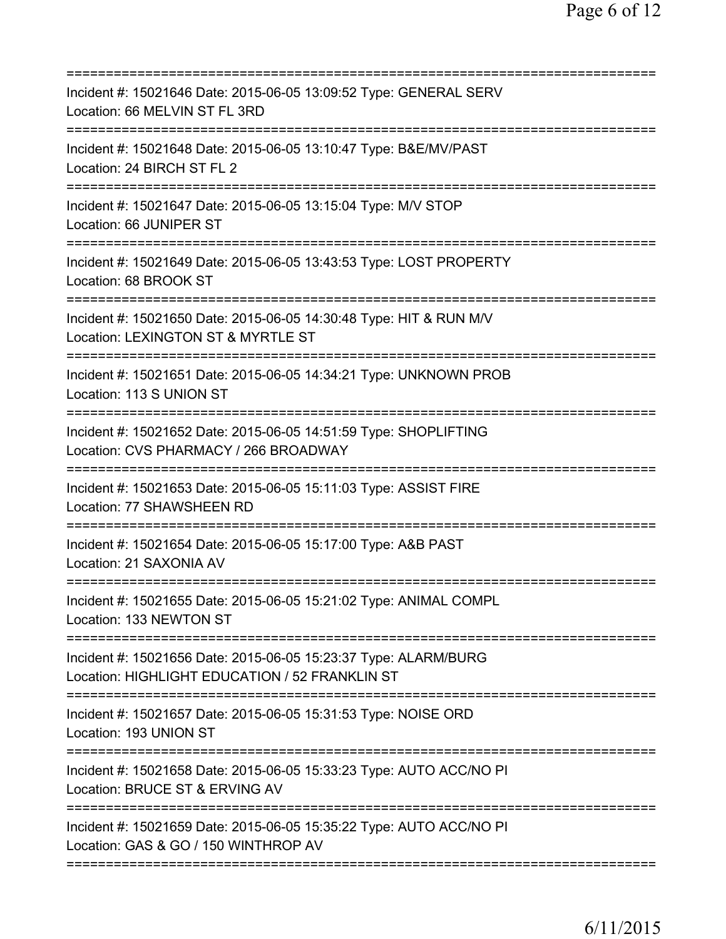| Incident #: 15021646 Date: 2015-06-05 13:09:52 Type: GENERAL SERV<br>Location: 66 MELVIN ST FL 3RD<br>=====================<br>=============     |
|--------------------------------------------------------------------------------------------------------------------------------------------------|
| Incident #: 15021648 Date: 2015-06-05 13:10:47 Type: B&E/MV/PAST<br>Location: 24 BIRCH ST FL 2                                                   |
| Incident #: 15021647 Date: 2015-06-05 13:15:04 Type: M/V STOP<br>Location: 66 JUNIPER ST                                                         |
| Incident #: 15021649 Date: 2015-06-05 13:43:53 Type: LOST PROPERTY<br>Location: 68 BROOK ST                                                      |
| Incident #: 15021650 Date: 2015-06-05 14:30:48 Type: HIT & RUN M/V<br>Location: LEXINGTON ST & MYRTLE ST                                         |
| ============================<br>Incident #: 15021651 Date: 2015-06-05 14:34:21 Type: UNKNOWN PROB<br>Location: 113 S UNION ST                    |
| Incident #: 15021652 Date: 2015-06-05 14:51:59 Type: SHOPLIFTING<br>Location: CVS PHARMACY / 266 BROADWAY<br>=================================== |
| Incident #: 15021653 Date: 2015-06-05 15:11:03 Type: ASSIST FIRE<br>Location: 77 SHAWSHEEN RD                                                    |
| Incident #: 15021654 Date: 2015-06-05 15:17:00 Type: A&B PAST<br>Location: 21 SAXONIA AV                                                         |
| Incident #: 15021655 Date: 2015-06-05 15:21:02 Type: ANIMAL COMPL<br>Location: 133 NEWTON ST                                                     |
| Incident #: 15021656 Date: 2015-06-05 15:23:37 Type: ALARM/BURG<br>Location: HIGHLIGHT EDUCATION / 52 FRANKLIN ST                                |
| Incident #: 15021657 Date: 2015-06-05 15:31:53 Type: NOISE ORD<br>Location: 193 UNION ST                                                         |
| Incident #: 15021658 Date: 2015-06-05 15:33:23 Type: AUTO ACC/NO PI<br>Location: BRUCE ST & ERVING AV                                            |
| Incident #: 15021659 Date: 2015-06-05 15:35:22 Type: AUTO ACC/NO PI<br>Location: GAS & GO / 150 WINTHROP AV                                      |
|                                                                                                                                                  |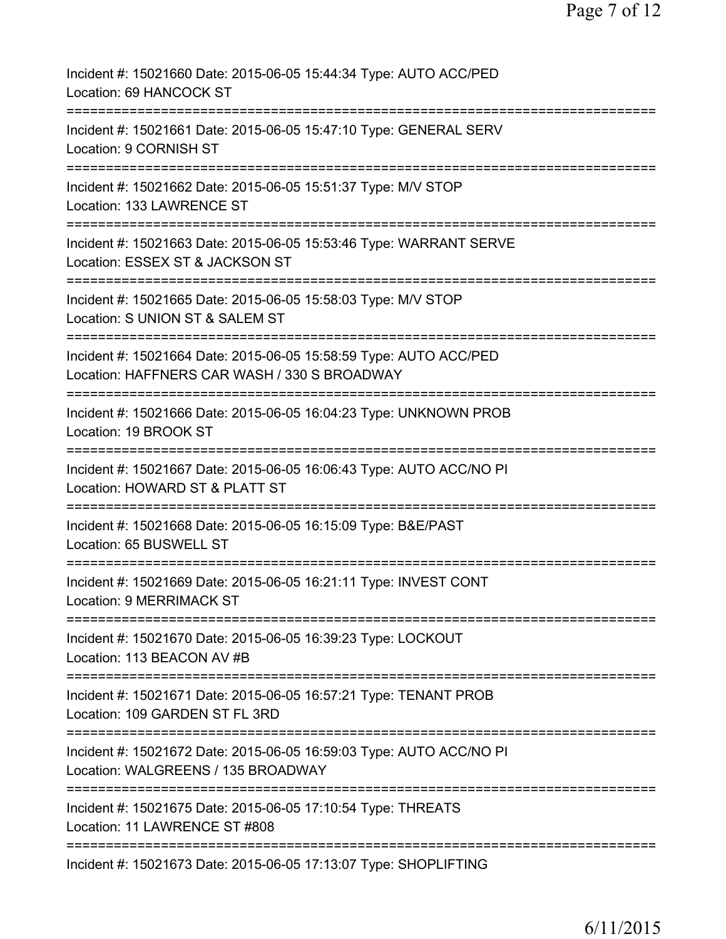| Incident #: 15021660 Date: 2015-06-05 15:44:34 Type: AUTO ACC/PED<br>Location: 69 HANCOCK ST                                                                 |
|--------------------------------------------------------------------------------------------------------------------------------------------------------------|
| Incident #: 15021661 Date: 2015-06-05 15:47:10 Type: GENERAL SERV<br>Location: 9 CORNISH ST                                                                  |
| Incident #: 15021662 Date: 2015-06-05 15:51:37 Type: M/V STOP<br>Location: 133 LAWRENCE ST                                                                   |
| Incident #: 15021663 Date: 2015-06-05 15:53:46 Type: WARRANT SERVE<br>Location: ESSEX ST & JACKSON ST                                                        |
| Incident #: 15021665 Date: 2015-06-05 15:58:03 Type: M/V STOP<br>Location: S UNION ST & SALEM ST                                                             |
| :===========<br>Incident #: 15021664 Date: 2015-06-05 15:58:59 Type: AUTO ACC/PED<br>Location: HAFFNERS CAR WASH / 330 S BROADWAY<br>----------------------- |
| Incident #: 15021666 Date: 2015-06-05 16:04:23 Type: UNKNOWN PROB<br>Location: 19 BROOK ST                                                                   |
| ----------------<br>Incident #: 15021667 Date: 2015-06-05 16:06:43 Type: AUTO ACC/NO PI<br>Location: HOWARD ST & PLATT ST                                    |
| Incident #: 15021668 Date: 2015-06-05 16:15:09 Type: B&E/PAST<br>Location: 65 BUSWELL ST                                                                     |
| Incident #: 15021669 Date: 2015-06-05 16:21:11 Type: INVEST CONT<br><b>Location: 9 MERRIMACK ST</b>                                                          |
| Incident #: 15021670 Date: 2015-06-05 16:39:23 Type: LOCKOUT<br>Location: 113 BEACON AV #B                                                                   |
| Incident #: 15021671 Date: 2015-06-05 16:57:21 Type: TENANT PROB<br>Location: 109 GARDEN ST FL 3RD                                                           |
| Incident #: 15021672 Date: 2015-06-05 16:59:03 Type: AUTO ACC/NO PI<br>Location: WALGREENS / 135 BROADWAY                                                    |
| Incident #: 15021675 Date: 2015-06-05 17:10:54 Type: THREATS<br>Location: 11 LAWRENCE ST #808                                                                |
| Incident #: 15021673 Date: 2015-06-05 17:13:07 Type: SHOPLIFTING                                                                                             |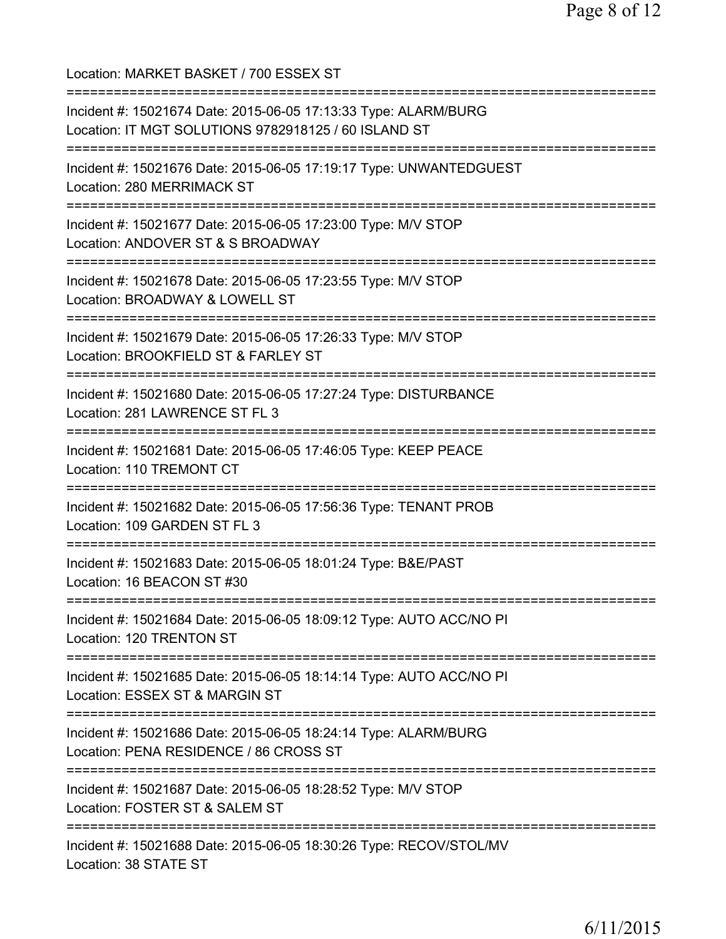Location: MARKET BASKET / 700 ESSEX ST =========================================================================== Incident #: 15021674 Date: 2015-06-05 17:13:33 Type: ALARM/BURG Location: IT MGT SOLUTIONS 9782918125 / 60 ISLAND ST =========================================================================== Incident #: 15021676 Date: 2015-06-05 17:19:17 Type: UNWANTEDGUEST Location: 280 MERRIMACK ST =========================================================================== Incident #: 15021677 Date: 2015-06-05 17:23:00 Type: M/V STOP Location: ANDOVER ST & S BROADWAY =========================================================================== Incident #: 15021678 Date: 2015-06-05 17:23:55 Type: M/V STOP Location: BROADWAY & LOWELL ST =========================================================================== Incident #: 15021679 Date: 2015-06-05 17:26:33 Type: M/V STOP Location: BROOKFIELD ST & FARLEY ST =========================================================================== Incident #: 15021680 Date: 2015-06-05 17:27:24 Type: DISTURBANCE Location: 281 LAWRENCE ST FL 3 =========================================================================== Incident #: 15021681 Date: 2015-06-05 17:46:05 Type: KEEP PEACE Location: 110 TREMONT CT =========================================================================== Incident #: 15021682 Date: 2015-06-05 17:56:36 Type: TENANT PROB Location: 109 GARDEN ST FL 3 =========================================================================== Incident #: 15021683 Date: 2015-06-05 18:01:24 Type: B&E/PAST Location: 16 BEACON ST #30 =========================================================================== Incident #: 15021684 Date: 2015-06-05 18:09:12 Type: AUTO ACC/NO PI Location: 120 TRENTON ST =========================================================================== Incident #: 15021685 Date: 2015-06-05 18:14:14 Type: AUTO ACC/NO PI Location: ESSEX ST & MARGIN ST =========================================================================== Incident #: 15021686 Date: 2015-06-05 18:24:14 Type: ALARM/BURG Location: PENA RESIDENCE / 86 CROSS ST =========================================================================== Incident #: 15021687 Date: 2015-06-05 18:28:52 Type: M/V STOP Location: FOSTER ST & SALEM ST =========================================================================== Incident #: 15021688 Date: 2015-06-05 18:30:26 Type: RECOV/STOL/MV Location: 38 STATE ST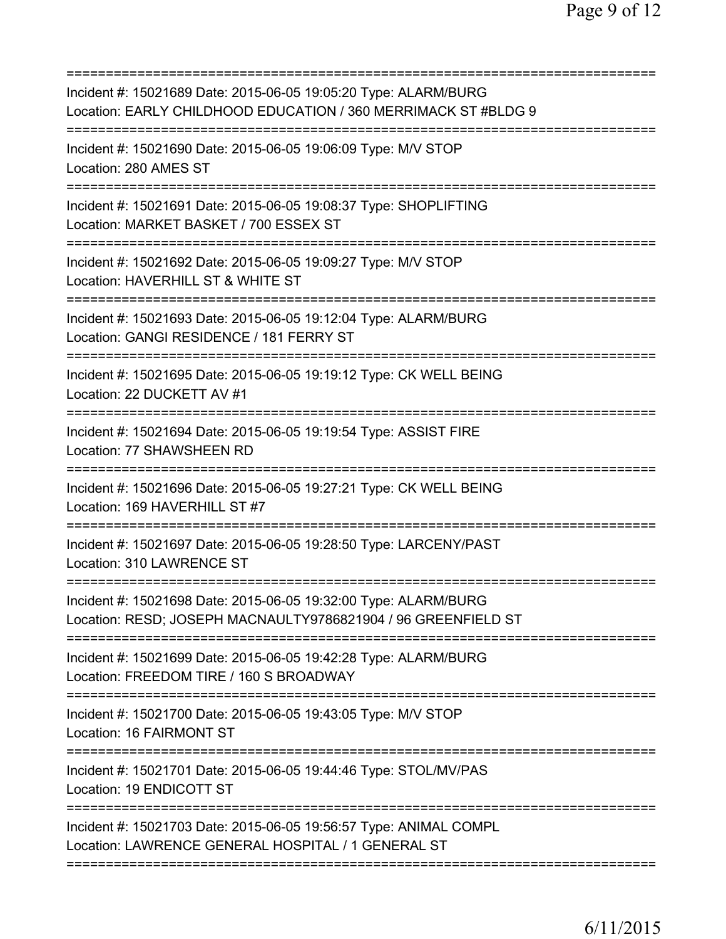| Incident #: 15021689 Date: 2015-06-05 19:05:20 Type: ALARM/BURG<br>Location: EARLY CHILDHOOD EDUCATION / 360 MERRIMACK ST #BLDG 9           |
|---------------------------------------------------------------------------------------------------------------------------------------------|
| Incident #: 15021690 Date: 2015-06-05 19:06:09 Type: M/V STOP<br>Location: 280 AMES ST                                                      |
| Incident #: 15021691 Date: 2015-06-05 19:08:37 Type: SHOPLIFTING<br>Location: MARKET BASKET / 700 ESSEX ST                                  |
| Incident #: 15021692 Date: 2015-06-05 19:09:27 Type: M/V STOP<br>Location: HAVERHILL ST & WHITE ST                                          |
| Incident #: 15021693 Date: 2015-06-05 19:12:04 Type: ALARM/BURG<br>Location: GANGI RESIDENCE / 181 FERRY ST                                 |
| Incident #: 15021695 Date: 2015-06-05 19:19:12 Type: CK WELL BEING<br>Location: 22 DUCKETT AV #1                                            |
| Incident #: 15021694 Date: 2015-06-05 19:19:54 Type: ASSIST FIRE<br>Location: 77 SHAWSHEEN RD                                               |
| Incident #: 15021696 Date: 2015-06-05 19:27:21 Type: CK WELL BEING<br>Location: 169 HAVERHILL ST #7<br>==================================== |
| Incident #: 15021697 Date: 2015-06-05 19:28:50 Type: LARCENY/PAST<br>Location: 310 LAWRENCE ST                                              |
| Incident #: 15021698 Date: 2015-06-05 19:32:00 Type: ALARM/BURG<br>Location: RESD; JOSEPH MACNAULTY9786821904 / 96 GREENFIELD ST            |
| Incident #: 15021699 Date: 2015-06-05 19:42:28 Type: ALARM/BURG<br>Location: FREEDOM TIRE / 160 S BROADWAY                                  |
| Incident #: 15021700 Date: 2015-06-05 19:43:05 Type: M/V STOP<br>Location: 16 FAIRMONT ST                                                   |
| Incident #: 15021701 Date: 2015-06-05 19:44:46 Type: STOL/MV/PAS<br>Location: 19 ENDICOTT ST                                                |
| Incident #: 15021703 Date: 2015-06-05 19:56:57 Type: ANIMAL COMPL<br>Location: LAWRENCE GENERAL HOSPITAL / 1 GENERAL ST                     |
|                                                                                                                                             |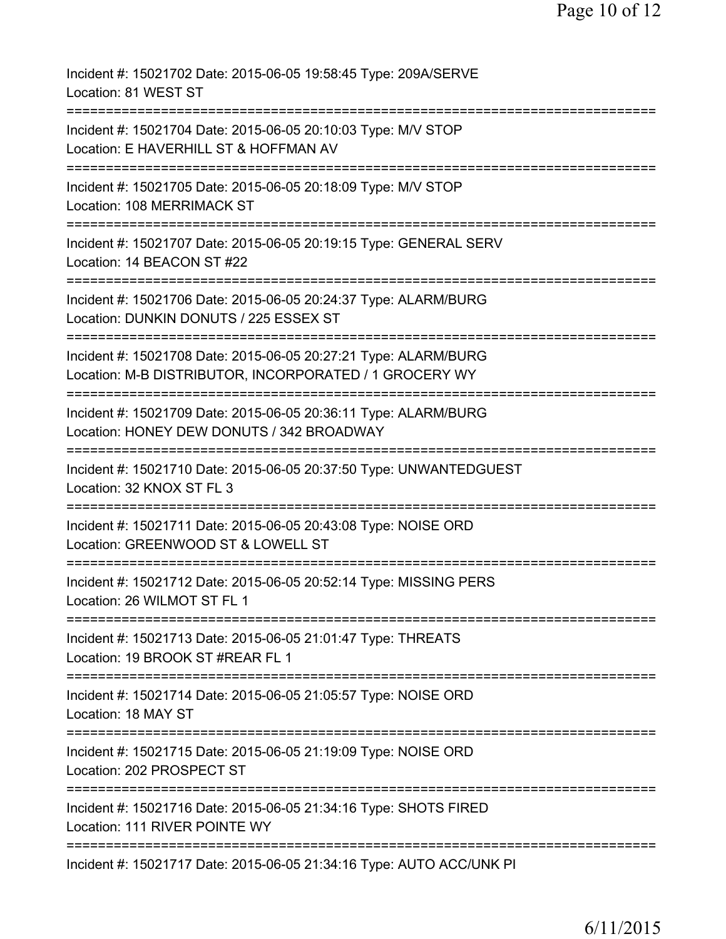| Incident #: 15021702 Date: 2015-06-05 19:58:45 Type: 209A/SERVE<br>Location: 81 WEST ST                                                            |
|----------------------------------------------------------------------------------------------------------------------------------------------------|
| Incident #: 15021704 Date: 2015-06-05 20:10:03 Type: M/V STOP<br>Location: E HAVERHILL ST & HOFFMAN AV                                             |
| Incident #: 15021705 Date: 2015-06-05 20:18:09 Type: M/V STOP<br>Location: 108 MERRIMACK ST                                                        |
| Incident #: 15021707 Date: 2015-06-05 20:19:15 Type: GENERAL SERV<br>Location: 14 BEACON ST #22                                                    |
| Incident #: 15021706 Date: 2015-06-05 20:24:37 Type: ALARM/BURG<br>Location: DUNKIN DONUTS / 225 ESSEX ST                                          |
| Incident #: 15021708 Date: 2015-06-05 20:27:21 Type: ALARM/BURG<br>Location: M-B DISTRIBUTOR, INCORPORATED / 1 GROCERY WY                          |
| ==================================<br>Incident #: 15021709 Date: 2015-06-05 20:36:11 Type: ALARM/BURG<br>Location: HONEY DEW DONUTS / 342 BROADWAY |
| ==============================<br>Incident #: 15021710 Date: 2015-06-05 20:37:50 Type: UNWANTEDGUEST<br>Location: 32 KNOX ST FL 3                  |
| Incident #: 15021711 Date: 2015-06-05 20:43:08 Type: NOISE ORD<br>Location: GREENWOOD ST & LOWELL ST                                               |
| Incident #: 15021712 Date: 2015-06-05 20:52:14 Type: MISSING PERS<br>Location: 26 WILMOT ST FL 1                                                   |
| Incident #: 15021713 Date: 2015-06-05 21:01:47 Type: THREATS<br>Location: 19 BROOK ST #REAR FL 1                                                   |
| Incident #: 15021714 Date: 2015-06-05 21:05:57 Type: NOISE ORD<br>Location: 18 MAY ST                                                              |
| =============<br>Incident #: 15021715 Date: 2015-06-05 21:19:09 Type: NOISE ORD<br>Location: 202 PROSPECT ST                                       |
| Incident #: 15021716 Date: 2015-06-05 21:34:16 Type: SHOTS FIRED<br>Location: 111 RIVER POINTE WY                                                  |
| Incident #: 15021717 Date: 2015-06-05 21:34:16 Type: AUTO ACC/UNK PI                                                                               |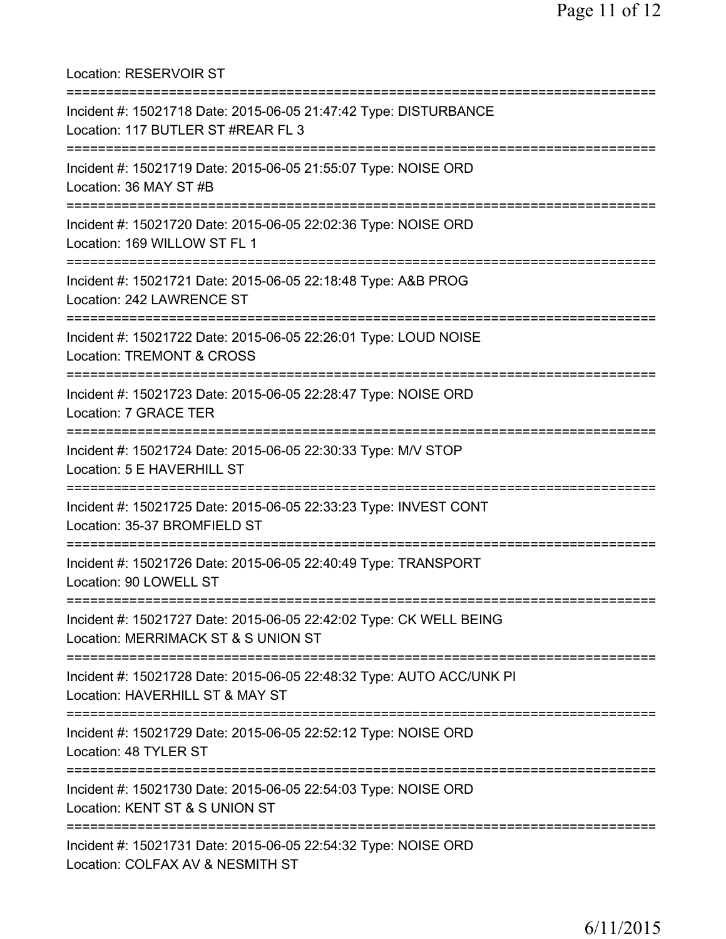Location: RESERVOIR ST =========================================================================== Incident #: 15021718 Date: 2015-06-05 21:47:42 Type: DISTURBANCE Location: 117 BUTLER ST #REAR FL 3 =========================================================================== Incident #: 15021719 Date: 2015-06-05 21:55:07 Type: NOISE ORD Location: 36 MAY ST #B =========================================================================== Incident #: 15021720 Date: 2015-06-05 22:02:36 Type: NOISE ORD Location: 169 WILLOW ST FL 1 =========================================================================== Incident #: 15021721 Date: 2015-06-05 22:18:48 Type: A&B PROG Location: 242 LAWRENCE ST =========================================================================== Incident #: 15021722 Date: 2015-06-05 22:26:01 Type: LOUD NOISE Location: TREMONT & CROSS =========================================================================== Incident #: 15021723 Date: 2015-06-05 22:28:47 Type: NOISE ORD Location: 7 GRACE TER =========================================================================== Incident #: 15021724 Date: 2015-06-05 22:30:33 Type: M/V STOP Location: 5 E HAVERHILL ST =========================================================================== Incident #: 15021725 Date: 2015-06-05 22:33:23 Type: INVEST CONT Location: 35-37 BROMFIELD ST =========================================================================== Incident #: 15021726 Date: 2015-06-05 22:40:49 Type: TRANSPORT Location: 90 LOWELL ST =========================================================================== Incident #: 15021727 Date: 2015-06-05 22:42:02 Type: CK WELL BEING Location: MERRIMACK ST & S UNION ST =========================================================================== Incident #: 15021728 Date: 2015-06-05 22:48:32 Type: AUTO ACC/UNK PI Location: HAVERHILL ST & MAY ST =========================================================================== Incident #: 15021729 Date: 2015-06-05 22:52:12 Type: NOISE ORD Location: 48 TYLER ST =========================================================================== Incident #: 15021730 Date: 2015-06-05 22:54:03 Type: NOISE ORD Location: KENT ST & S UNION ST =========================================================================== Incident #: 15021731 Date: 2015-06-05 22:54:32 Type: NOISE ORD Location: COLFAX AV & NESMITH ST